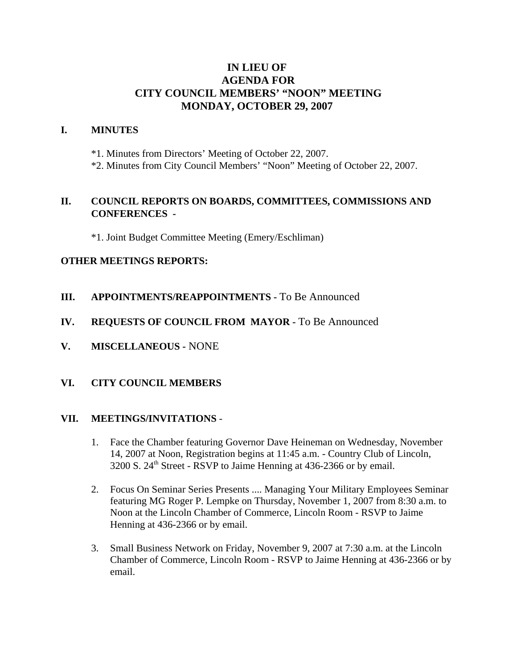# **IN LIEU OF AGENDA FOR CITY COUNCIL MEMBERS' "NOON" MEETING MONDAY, OCTOBER 29, 2007**

## **I. MINUTES**

\*1. Minutes from Directors' Meeting of October 22, 2007.

\*2. Minutes from City Council Members' "Noon" Meeting of October 22, 2007.

# **II. COUNCIL REPORTS ON BOARDS, COMMITTEES, COMMISSIONS AND CONFERENCES -**

\*1. Joint Budget Committee Meeting (Emery/Eschliman)

## **OTHER MEETINGS REPORTS:**

- **III.** APPOINTMENTS/REAPPOINTMENTS To Be Announced
- **IV. REQUESTS OF COUNCIL FROM MAYOR -** To Be Announced
- **V. MISCELLANEOUS -** NONE

## **VI. CITY COUNCIL MEMBERS**

#### **VII. MEETINGS/INVITATIONS** -

- 1. Face the Chamber featuring Governor Dave Heineman on Wednesday, November 14, 2007 at Noon, Registration begins at 11:45 a.m. - Country Club of Lincoln, 3200 S. 24th Street - RSVP to Jaime Henning at 436-2366 or by email.
- 2. Focus On Seminar Series Presents .... Managing Your Military Employees Seminar featuring MG Roger P. Lempke on Thursday, November 1, 2007 from 8:30 a.m. to Noon at the Lincoln Chamber of Commerce, Lincoln Room - RSVP to Jaime Henning at 436-2366 or by email.
- 3. Small Business Network on Friday, November 9, 2007 at 7:30 a.m. at the Lincoln Chamber of Commerce, Lincoln Room - RSVP to Jaime Henning at 436-2366 or by email.